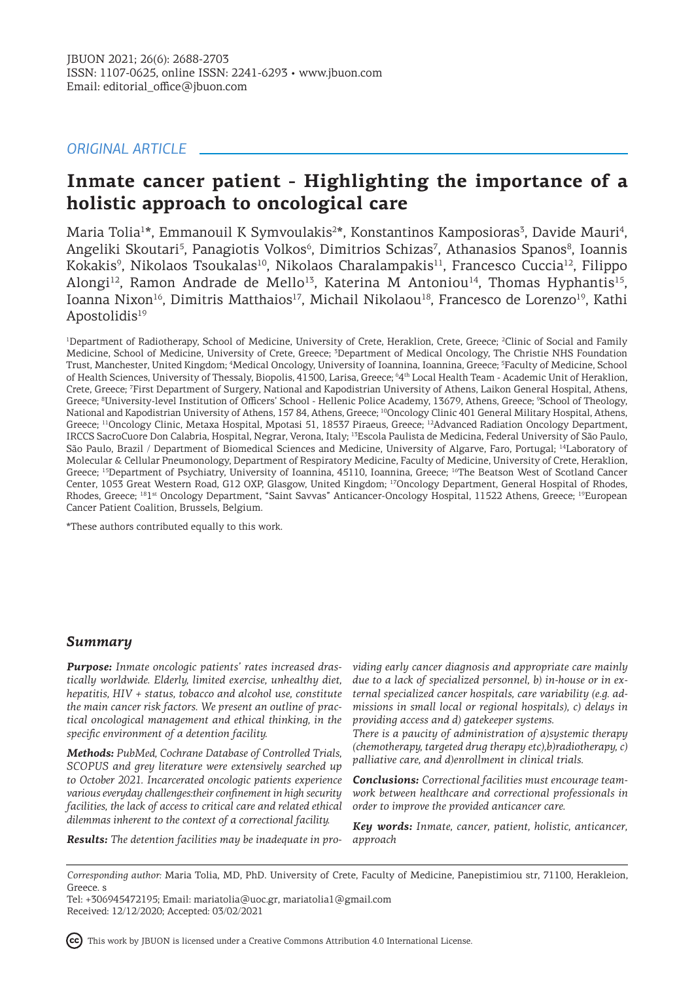# *ORIGINAL ARTICLE*

# **Inmate cancer patient - Highlighting the importance of a holistic approach to oncological care**

Maria Tolia<sup>1\*</sup>, Emmanouil K Symvoulakis<sup>2\*</sup>, Konstantinos Kamposioras<sup>3</sup>, Davide Mauri<sup>4</sup>, Angeliki Skoutari<sup>5</sup>, Panagiotis Volkos<sup>6</sup>, Dimitrios Schizas<sup>7</sup>, Athanasios Spanos<sup>8</sup>, Ioannis Kokakis<sup>9</sup>, Nikolaos Tsoukalas<sup>10</sup>, Nikolaos Charalampakis<sup>11</sup>, Francesco Cuccia<sup>12</sup>, Filippo Alongi<sup>12</sup>, Ramon Andrade de Mello<sup>13</sup>, Katerina M Antoniou<sup>14</sup>, Thomas Hyphantis<sup>15</sup>, Ioanna Nixon<sup>16</sup>, Dimitris Matthaios<sup>17</sup>, Michail Nikolaou<sup>18</sup>, Francesco de Lorenzo<sup>19</sup>, Kathi Apostolidis<sup>19</sup>

<sup>1</sup>Department of Radiotherapy, School of Medicine, University of Crete, Heraklion, Crete, Greece; <sup>2</sup>Clinic of Social and Family Medicine, School of Medicine, University of Crete, Greece; <sup>3</sup>Department of Medical Oncology, The Christie NHS Foundation Trust, Manchester, United Kingdom; <sup>4</sup> Medical Oncology, University of Ioannina, Ioannina, Greece; <sup>5</sup> Faculty of Medicine, School of Health Sciences, University of Thessaly, Biopolis, 41 500, Larisa, Greece; <sup>64th</sup> Local Health Team - Academic Unit of Heraklion, Crete, Greece; <sup>7</sup> First Department of Surgery, National and Kapodistrian University of Athens, Laikon General Hospital, Athens, Greece; <sup>8</sup>University-level Institution of Officers' School - Hellenic Police Academy, 13679, Athens, Greece; <sup>9</sup>School of Theology, National and Kapodistrian University of Athens, 157 84, Athens, Greece; <sup>10</sup>Oncology Clinic 401 General Military Hospital, Athens, Greece; <sup>11</sup>Oncology Clinic, Metaxa Hospital, Mpotasi 51, 18537 Piraeus, Greece; <sup>12</sup>Advanced Radiation Oncology Department, IRCCS SacroCuore Don Calabria, Hospital, Negrar, Verona, Italy; <sup>13</sup>Escola Paulista de Medicina, Federal University of São Paulo, São Paulo, Brazil / Department of Biomedical Sciences and Medicine, University of Algarve, Faro, Portugal; <sup>14</sup>Laboratory of Molecular & Cellular Pneumonology, Department of Respiratory Medicine, Faculty of Medicine, University of Crete, Heraklion, Greece; <sup>15</sup>Department of Psychiatry, University of Ioannina, 45110, Ioannina, Greece; <sup>16</sup>The Beatson West of Scotland Cancer Center, 1053 Great Western Road, G12 OXP, Glasgow, United Kingdom; <sup>17</sup>Oncology Department, General Hospital of Rhodes, Rhodes, Greece; <sup>18</sup>1<sup>st</sup> Oncology Department, "Saint Savvas" Anticancer-Oncology Hospital, 11522 Athens, Greece; <sup>18</sup>European Cancer Patient Coalition, Brussels, Belgium.

\*These authors contributed equally to this work.

# *Summary*

*Purpose: Inmate oncologic patients' rates increased drastically worldwide. Elderly, limited exercise, unhealthy diet, hepatitis, HIV + status, tobacco and alcohol use, constitute the main cancer risk factors. We present an outline of practical oncological management and ethical thinking, in the specific environment of a detention facility.* 

*Methods: PubMed, Cochrane Database of Controlled Trials, SCOPUS and grey literature were extensively searched up to October 2021. Ιncarcerated oncologic patients experience various everyday challenges:their confinement in high security facilities, the lack of access to critical care and related ethical dilemmas inherent to the context of a correctional facility.* 

*viding early cancer diagnosis and appropriate care mainly due to a lack of specialized personnel, b) in-house or in external specialized cancer hospitals, care variability (e.g. admissions in small local or regional hospitals), c) delays in providing access and d) gatekeeper systems.* 

*There is a paucity of administration of a)systemic therapy (chemotherapy, targeted drug therapy etc),b)radiotherapy, c) palliative care, and d)enrollment in clinical trials.* 

*Conclusions: Correctional facilities must encourage teamwork between healthcare and correctional professionals in order to improve the provided anticancer care.*

*Key words: Inmate, cancer, patient, holistic, anticancer, approach*

*Results: The detention facilities may be inadequate in pro-*

This work by JBUON is licensed under a Creative Commons Attribution 4.0 International License.

*Corresponding author:* Maria Tolia, MD, PhD. University of Crete, Faculty of Medicine, Panepistimiou str, 71100, Herakleion, Greece. s

Tel: +306945472195; Email: mariatolia@uoc.gr, mariatolia1@gmail.com Received: 12/12/2020; Accepted: 03/02/2021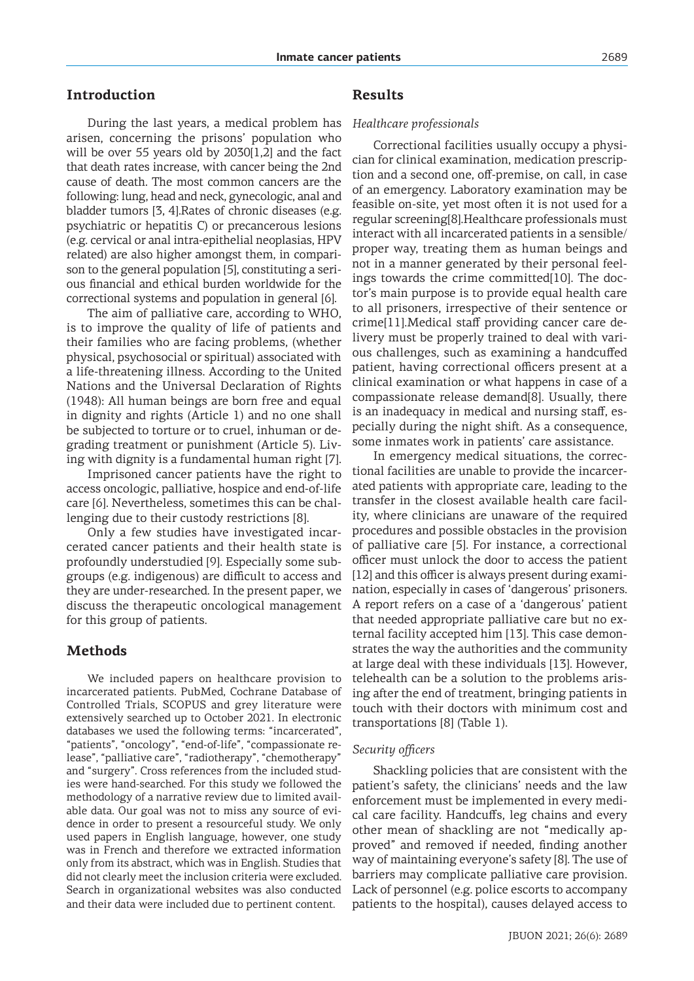# **Introduction**

During the last years, a medical problem has arisen, concerning the prisons' population who will be over 55 years old by 2030[1,2] and the fact that death rates increase, with cancer being the 2nd cause of death. The most common cancers are the following: lung, head and neck, gynecologic, anal and bladder tumors [3, 4].Rates of chronic diseases (e.g. psychiatric or hepatitis C) or precancerous lesions (e.g. cervical or anal intra-epithelial neoplasias, HPV related) are also higher amongst them, in comparison to the general population [5], constituting a serious financial and ethical burden worldwide for the correctional systems and population in general [6].

The aim of palliative care, according to WHO, is to improve the quality of life of patients and their families who are facing problems, (whether physical, psychosocial or spiritual) associated with a life-threatening illness. According to the United Nations and the Universal Declaration of Rights (1948): All human beings are born free and equal in dignity and rights (Article 1) and no one shall be subjected to torture or to cruel, inhuman or degrading treatment or punishment (Article 5). Living with dignity is a fundamental human right [7].

Imprisoned cancer patients have the right to access oncologic, palliative, hospice and end-of-life care [6]. Nevertheless, sometimes this can be challenging due to their custody restrictions [8].

Only a few studies have investigated incarcerated cancer patients and their health state is profoundly understudied [9]. Especially some subgroups (e.g. indigenous) are difficult to access and they are under-researched. In the present paper, we discuss the therapeutic oncological management for this group of patients.

## **Methods**

We included papers on healthcare provision to incarcerated patients. PubMed, Cochrane Database of Controlled Trials, SCOPUS and grey literature were extensively searched up to October 2021. In electronic databases we used the following terms: "incarcerated", "patients", "oncology", "end-of-life", "compassionate release", "palliative care", "radiotherapy", "chemotherapy" and "surgery". Cross references from the included studies were hand-searched. For this study we followed the methodology of a narrative review due to limited available data. Our goal was not to miss any source of evidence in order to present a resourceful study. We only used papers in English language, however, one study was in French and therefore we extracted information only from its abstract, which was in English. Studies that did not clearly meet the inclusion criteria were excluded. Search in organizational websites was also conducted and their data were included due to pertinent content.

### **Results**

### *Healthcare professionals*

Correctional facilities usually occupy a physician for clinical examination, medication prescription and a second one, off-premise, on call, in case of an emergency. Laboratory examination may be feasible on-site, yet most often it is not used for a regular screening[8].Healthcare professionals must interact with all incarcerated patients in a sensible/ proper way, treating them as human beings and not in a manner generated by their personal feelings towards the crime committed[10]. The doctor's main purpose is to provide equal health care to all prisoners, irrespective of their sentence or crime[11].Medical staff providing cancer care delivery must be properly trained to deal with various challenges, such as examining a handcuffed patient, having correctional officers present at a clinical examination or what happens in case of a compassionate release demand[8]. Usually, there is an inadequacy in medical and nursing staff, especially during the night shift. As a consequence, some inmates work in patients' care assistance.

In emergency medical situations, the correctional facilities are unable to provide the incarcerated patients with appropriate care, leading to the transfer in the closest available health care facility, where clinicians are unaware of the required procedures and possible obstacles in the provision of palliative care [5]. For instance, a correctional officer must unlock the door to access the patient [12] and this officer is always present during examination, especially in cases of 'dangerous' prisoners. A report refers on a case of a 'dangerous' patient that needed appropriate palliative care but no external facility accepted him [13]. This case demonstrates the way the authorities and the community at large deal with these individuals [13]. However, telehealth can be a solution to the problems arising after the end of treatment, bringing patients in touch with their doctors with minimum cost and transportations [8] (Table 1).

#### *Security officers*

Shackling policies that are consistent with the patient's safety, the clinicians' needs and the law enforcement must be implemented in every medical care facility. Handcuffs, leg chains and every other mean of shackling are not "medically approved" and removed if needed, finding another way of maintaining everyone's safety [8]. The use of barriers may complicate palliative care provision. Lack of personnel (e.g. police escorts to accompany patients to the hospital), causes delayed access to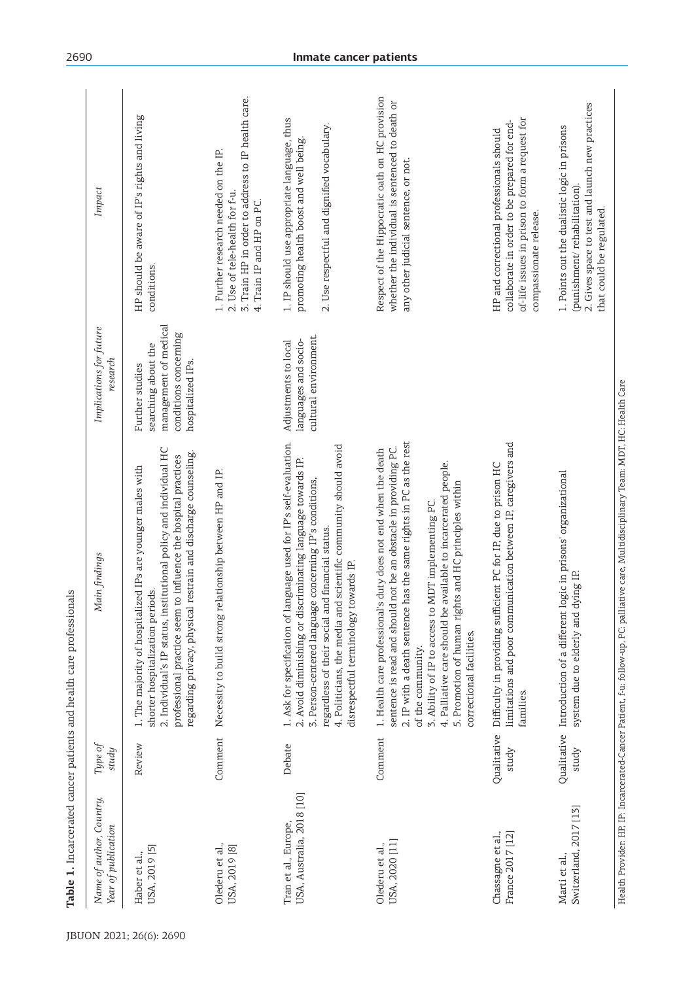| Name of author, Country,<br>Year of publication   | Туре оf<br>study     | Main findings                                                                                                                                                                                                                                                                                                                                                                                                                                     | Implications for future<br>research                                                                           | Impact                                                                                                                                                               |
|---------------------------------------------------|----------------------|---------------------------------------------------------------------------------------------------------------------------------------------------------------------------------------------------------------------------------------------------------------------------------------------------------------------------------------------------------------------------------------------------------------------------------------------------|---------------------------------------------------------------------------------------------------------------|----------------------------------------------------------------------------------------------------------------------------------------------------------------------|
| USA, 2019 [5]<br>Haber et al.,                    | Review               | 2. Individual's IP status, institutional policy and individual HC<br>restrain and discharge counseling.<br>to influence the hospital practices<br>1. The majority of hospitalized IPs are younger males with<br>shorter hospitalization periods.<br>regarding privacy, physical<br>professional practice seem                                                                                                                                     | management of medical<br>conditions concerning<br>searching about the<br>hospitalized IPs.<br>Further studies | HP should be aware of IP's rights and living<br>conditions.                                                                                                          |
| Olederu et al.,<br>USA, 2019 [8]                  | Comment              | Necessity to build strong relationship between HP and IP.                                                                                                                                                                                                                                                                                                                                                                                         |                                                                                                               | 3. Train HP in order to address to IP health care.<br>1. Further research needed on the IP.<br>2. Use of tele-health for f-u.<br>4. Train IP and HP on PC            |
| USA, Australia, 2018 [10]<br>Tran et al., Europe, | Debate               | 1. Ask for specification of language used for IP's self-evaluation.<br>4. Politicians, the media and scientific community should avoid<br>2. Avoid diminishing or discriminating language towards IP.<br>3. Person-centered language concerning IP's conditions,<br>regardless of their social and financial status.<br>disrespectful terminology towards IP.                                                                                     | cultural environment.<br>languages and socio-<br>Adjustments to local                                         | 1. IP should use appropriate language, thus<br>2. Use respectful and dignified vocabulary.<br>promoting health boost and well being.                                 |
| USA, 2020 [11]<br>Olederu et al.,                 | Comment              | has the same rights in PC as the rest<br>sentence is read and should not be an obstacle in providing PC.<br>1. Health care professional's duty does not end when the death<br>available to incarcerated people.<br>5. Promotion of human rights and HC principles within<br>MDT implementing PC.<br>4. Palliative care should be<br>2. IP with a death sentence<br>3. Ability of IP to access to<br>correctional facilities.<br>of the community. |                                                                                                               | Respect of the Hippocratic oath on HC provision<br>whether the individual is sentenced to death or<br>any other judicial sentence, or not.                           |
| Chassagne et al.,<br>France 2017 [12]             | Qualitative<br>study | limitations and poor communication between IP, caregivers and<br>Difficulty in providing sufficient PC for IP, due to prison HC<br>families.                                                                                                                                                                                                                                                                                                      |                                                                                                               | of-life issues in prison to form a request for<br>collaborate in order to be prepared for end-<br>HP and correctional professionals should<br>compassionate release. |
| Switzerland, 2017 [13]<br>Marti et al.,           | study                | Qualitative Introduction of a different logic in prisons' organizational<br>system due to elderly and dying IP.                                                                                                                                                                                                                                                                                                                                   |                                                                                                               | 2. Gives space to test and launch new practices<br>1. Points out the dualistic logic in prisons<br>(punishment/rehabilitation)<br>that could be regulated.           |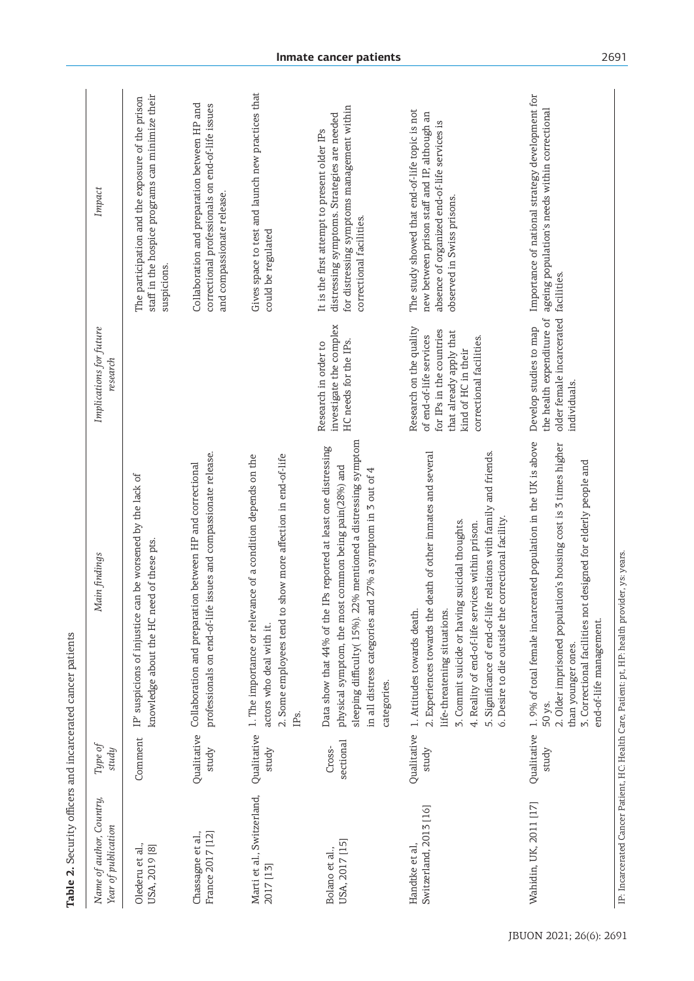| Name of author, Country,<br>Year of publication | Type of<br>study     | Main findings                                                                                                                                                                                                                                                                                                                                                 | Implications for future<br>research                                                                                                                          | Impact                                                                                                                                                                       |
|-------------------------------------------------|----------------------|---------------------------------------------------------------------------------------------------------------------------------------------------------------------------------------------------------------------------------------------------------------------------------------------------------------------------------------------------------------|--------------------------------------------------------------------------------------------------------------------------------------------------------------|------------------------------------------------------------------------------------------------------------------------------------------------------------------------------|
| Olederu et al.,<br>USA, 2019 [8]                | Comment              | can be worsened by the lack of<br>knowledge about the HC need of these pts.<br>IP' suspicions of injustice                                                                                                                                                                                                                                                    |                                                                                                                                                              | staff in the hospice programs can minimize their<br>The participation and the exposure of the prison<br>suspicions.                                                          |
| Chassagne et al.,<br>France 2017 [12]           | Qualitative<br>study | professionals on end-of-life issues and compassionate release.<br>Collaboration and preparation between HP and correctional                                                                                                                                                                                                                                   |                                                                                                                                                              | Collaboration and preparation between HP and<br>correctional professionals on end-of-life issues<br>and compassionate release.                                               |
| Marti et al., Switzerland,<br>2017 [13]         | Qualitative<br>study | ance of a condition depends on the<br>2. Some employees tend to show more affection in end-of-life<br>1. The importance or relev<br>actors who deal with it.<br>IP <sub>S</sub> .                                                                                                                                                                             |                                                                                                                                                              | Gives space to test and launch new practices that<br>could be regulated                                                                                                      |
| USA, 2017 [15]<br>Bolano et al.,                | sectional<br>Cross-  | sleeping difficulty(15%). 22% mentioned a distressing symptom<br>Data show that 44% of the IPs reported at least one distressing<br>physical symptom, the most common being pain(28%) and<br>in all distress categories and 27% a symptom in 3 out of 4 $\,$<br>categories.                                                                                   | investigate the complex<br>HC needs for the IPs.<br>Research in order to                                                                                     | for distressing symptoms management within<br>distressing symptoms. Strategies are needed<br>It is the first attempt to present older IPs<br>correctional facilities.        |
| Switzerland, 2013 [16]<br>Handtke et al         | Qualitative<br>study | 2. Experiences towards the death of other inmates and several<br>5. Significance of end-of-life relations with family and friends.<br>6. Desire to die outside the correctional facility.<br>3. Commit suicide or having suicidal thoughts.<br>4. Reality of end-of-life services within prison.<br>1. Attitudes towards death<br>life-threatening situations | Research on the quality<br>for IPs in the countries<br>that already apply that<br>of end-of-life services<br>correctional facilities.<br>kind of HC in their | The study showed that end-of-life topic is not<br>new between prison staff and IP, although an<br>absence of organized end-of-life services is<br>observed in Swiss prisons. |
| Wahidin, UK, 2011 [17]                          | Qualitative<br>study | 1.9% of total female incarcerated population in the UK is above<br>2. Older imprisoned population's housing cost is 3 times higher<br>3. Correctional facilities not designed for elderly people and<br>end-of-life management.<br>than younger ones.<br>50 ys.                                                                                               | older female incarcerated<br>the health expenditure of<br>Develop studies to map<br>individuals.                                                             | Importance of national strategy development for<br>ageing population's needs within correctional<br>facilities.                                                              |

Table 2. Security officers and incarcerated cancer patients Security officers and incarcerated cancer patients**Table 2.**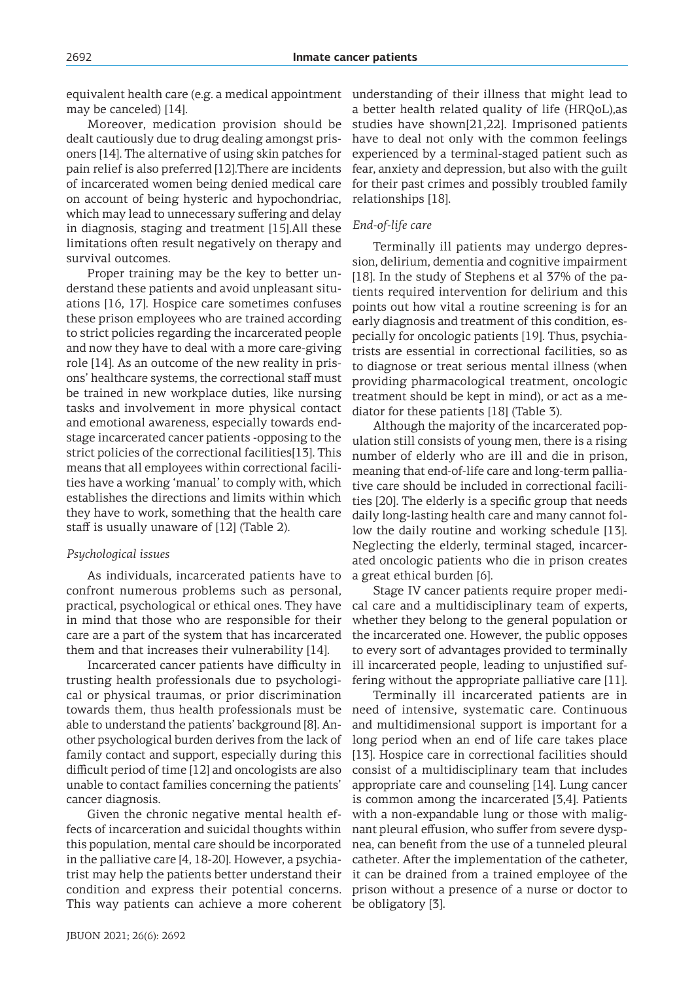equivalent health care (e.g. a medical appointment may be canceled) [14].

Moreover, medication provision should be dealt cautiously due to drug dealing amongst prisoners [14]. The alternative of using skin patches for pain relief is also preferred [12].There are incidents of incarcerated women being denied medical care on account of being hysteric and hypochondriac, which may lead to unnecessary suffering and delay in diagnosis, staging and treatment [15].All these limitations often result negatively on therapy and survival outcomes.

Proper training may be the key to better understand these patients and avoid unpleasant situations [16, 17]. Hospice care sometimes confuses these prison employees who are trained according to strict policies regarding the incarcerated people and now they have to deal with a more care-giving role [14]. As an outcome of the new reality in prisons' healthcare systems, the correctional staff must be trained in new workplace duties, like nursing tasks and involvement in more physical contact and emotional awareness, especially towards endstage incarcerated cancer patients -opposing to the strict policies of the correctional facilities[13]. This means that all employees within correctional facilities have a working 'manual' to comply with, which establishes the directions and limits within which they have to work, something that the health care staff is usually unaware of [12] (Table 2).

### *Psychological issues*

As individuals, incarcerated patients have to confront numerous problems such as personal, practical, psychological or ethical ones. They have in mind that those who are responsible for their care are a part of the system that has incarcerated them and that increases their vulnerability [14].

Incarcerated cancer patients have difficulty in trusting health professionals due to psychological or physical traumas, or prior discrimination towards them, thus health professionals must be able to understand the patients' background [8]. Another psychological burden derives from the lack of family contact and support, especially during this difficult period of time [12] and oncologists are also unable to contact families concerning the patients' cancer diagnosis.

Given the chronic negative mental health effects of incarceration and suicidal thoughts within this population, mental care should be incorporated in the palliative care [4, 18-20]. However, a psychiatrist may help the patients better understand their condition and express their potential concerns. This way patients can achieve a more coherent be obligatory [3].

understanding of their illness that might lead to a better health related quality of life (HRQoL),as studies have shown[21,22]. Imprisoned patients have to deal not only with the common feelings experienced by a terminal-staged patient such as fear, anxiety and depression, but also with the guilt for their past crimes and possibly troubled family relationships [18].

### *End-of-life care*

Terminally ill patients may undergo depression, delirium, dementia and cognitive impairment [18]. In the study of Stephens et al 37% of the patients required intervention for delirium and this points out how vital a routine screening is for an early diagnosis and treatment of this condition, especially for oncologic patients [19]. Thus, psychiatrists are essential in correctional facilities, so as to diagnose or treat serious mental illness (when providing pharmacological treatment, oncologic treatment should be kept in mind), or act as a mediator for these patients [18] (Table 3).

Although the majority of the incarcerated population still consists of young men, there is a rising number of elderly who are ill and die in prison, meaning that end-of-life care and long-term palliative care should be included in correctional facilities [20]. The elderly is a specific group that needs daily long-lasting health care and many cannot follow the daily routine and working schedule [13]. Neglecting the elderly, terminal staged, incarcerated oncologic patients who die in prison creates a great ethical burden [6].

Stage IV cancer patients require proper medical care and a multidisciplinary team of experts, whether they belong to the general population or the incarcerated one. However, the public opposes to every sort of advantages provided to terminally ill incarcerated people, leading to unjustified suffering without the appropriate palliative care [11].

Terminally ill incarcerated patients are in need of intensive, systematic care. Continuous and multidimensional support is important for a long period when an end of life care takes place [13]. Hospice care in correctional facilities should consist of a multidisciplinary team that includes appropriate care and counseling [14]. Lung cancer is common among the incarcerated [3,4]. Patients with a non-expandable lung or those with malignant pleural effusion, who suffer from severe dyspnea, can benefit from the use of a tunneled pleural catheter. After the implementation of the catheter, it can be drained from a trained employee of the prison without a presence of a nurse or doctor to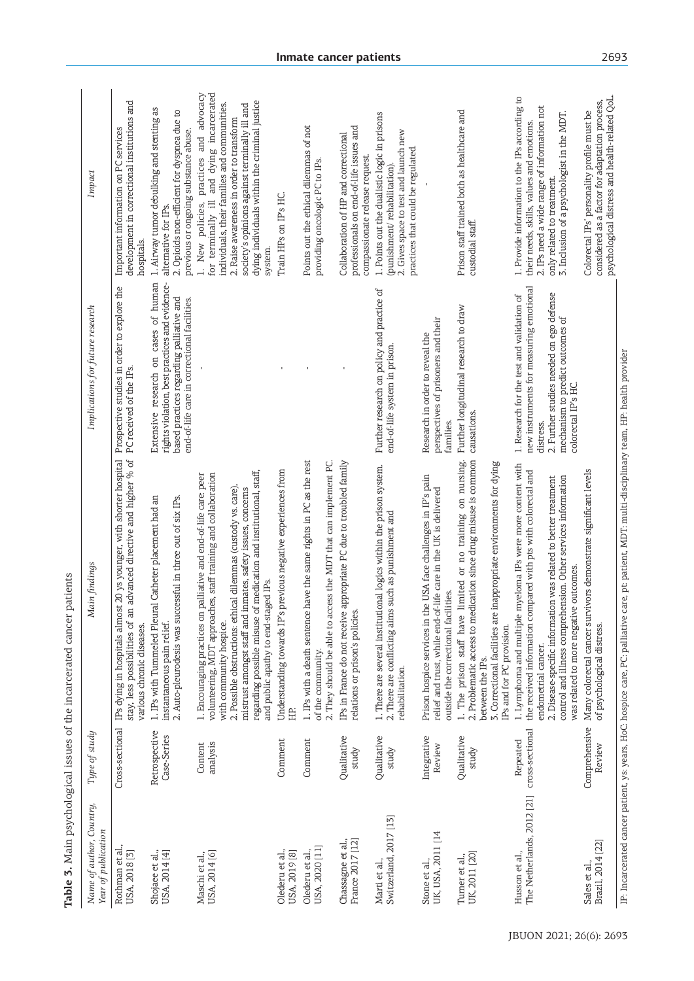| Name of author, Country,<br>Year of publication | Type of study                | Main findings                                                                                                                                                                                                                                                                                                                                                                                                | Implications for future research                                                                                                                                                                          | Impact                                                                                                                                                                                                                                                                                       |
|-------------------------------------------------|------------------------------|--------------------------------------------------------------------------------------------------------------------------------------------------------------------------------------------------------------------------------------------------------------------------------------------------------------------------------------------------------------------------------------------------------------|-----------------------------------------------------------------------------------------------------------------------------------------------------------------------------------------------------------|----------------------------------------------------------------------------------------------------------------------------------------------------------------------------------------------------------------------------------------------------------------------------------------------|
| Rothman et al.<br>USA, 2018 <sup>[3]</sup>      | Cross-sectional              | stay, less possibilities of an advanced directive and higher % of<br>IPs dying in hospitals almost 20 ys younger, with shorter hospital<br>various chronic diseases.                                                                                                                                                                                                                                         | Prospective studies in order to explore the<br>PC received of the IPs.                                                                                                                                    | development in correctional institutions and<br>Important information on PC services<br>hospitals.                                                                                                                                                                                           |
| Shojaee et al.,<br>USA, 2014 [4]                | Retrospective<br>Case-Series | 1. IPs with Tummeled Pleural Catheter placement had an<br>2. Auto-pleurodesis was successful in three out of six IPs.<br>instantaneous pain relief.                                                                                                                                                                                                                                                          | Extensive research on cases of human<br>rights violation, best practices and evidence-<br>based practices regarding palliative and<br>end-of-life care in correctional facilities.                        | 1. Airway tumor debulking and stenting as<br>2. Opioids non-efficient for dyspnea due to<br>previous or ongoing substance abuse.<br>alternative for IPs.                                                                                                                                     |
| USA, 2014 [6]<br>Maschi et al.,                 | analysis<br>Content          | regarding possible misuse of medication and institutional, staff,<br>volunteering, MDT approaches, staff training and collaboration<br>1. Encouraging practices on palliative and end-of-life care: peer<br>2. Possible obstructions: ethical dilemmas (custody vs. care),<br>mistrust amongst staff and inmates, safety issues, concerns<br>and public apathy to end-staged IPs.<br>with community hospice. |                                                                                                                                                                                                           | for terminally ill and dying incarcerated<br>1. New policies, practices and advocacy<br>dying individuals within the criminal justice<br>individuals, their families and communities.<br>society's opinions against terminally ill and<br>2. Raise awareness in order to transform<br>system |
| Olederu et al.,<br>USA, 2019 [8]                | Comment                      | Understanding towards IP's previous negative experiences from<br>HP.                                                                                                                                                                                                                                                                                                                                         |                                                                                                                                                                                                           | Train HPs on IP's HC                                                                                                                                                                                                                                                                         |
| USA, 2020 [11]<br>Olederu et al.                | Comment                      | 1. IPs with a death sentence have the same rights in PC as the rest<br>2. They should be able to access the MDT that can implement PC.<br>of the community.                                                                                                                                                                                                                                                  |                                                                                                                                                                                                           | Points out the ethical dilemmas of not<br>providing oncologic PC to IPs.                                                                                                                                                                                                                     |
| France 2017 [12]<br>Chassagne et al.,           | Qualitative<br>study         | IPs in France do not receive appropriate PC due to troubled family<br>relations or prison's policies.                                                                                                                                                                                                                                                                                                        |                                                                                                                                                                                                           | professionals on end-of-life issues and<br>Collaboration of HP and correctional<br>compassionate release request.                                                                                                                                                                            |
| Marti et al.,<br>Switzerland, 2017 [13]         | Qualitative<br>study         | 1. There are several institutional logics within the prison system.<br>2. There are conflicting aims such as punishment and<br>rehabilitation.                                                                                                                                                                                                                                                               | Further research on policy and practice of<br>end-of-life system in prison.                                                                                                                               | 1. Points out the dualistic logic in prisons<br>2. Gives space to test and launch new<br>practices that could be regulated<br>(punishment/rehabilitation).                                                                                                                                   |
| UK, USA, 2011 [14<br>Stone et al.,              | Integrative<br>Review        | Prison hospice services in the USA face challenges in IP's pain<br>relief and trust, while end-of-life care in the UK is delivered<br>outside the correctional facilities.                                                                                                                                                                                                                                   | perspectives of prisoners and their<br>Research in order to reveal the<br>families.                                                                                                                       |                                                                                                                                                                                                                                                                                              |
| UK, 2011 [20]<br>Turner et al.,                 | Qualitative<br>study         | 2. Problematic access to medication since drug misuse is common<br>1. The prison staff have limited or no training on nursing.<br>inappropriate environments for dying<br>3. Correctional facilities are<br>IPs and for PC provision.<br>between the IPs.                                                                                                                                                    | Further longitudinal research to draw<br>causations.                                                                                                                                                      | Prison staff trained both as healthcare and<br>custodial staff.                                                                                                                                                                                                                              |
| The Netherlands, 2012 [21]<br>Husson et al.,    | cross-sectional<br>Repeated  | myeloma IPs were more content with<br>the received information compared with pts with colorectal and<br>control and illness comprehension. Other services information<br>2. Disease-specific information was related to better treatment<br>was related to more negative outcomes.<br>1. Lymphoma and multiple<br>endometrial cancer.                                                                        | new instruments for measuring emotional<br>2. Further studies needed on ego defense<br>1. Research for the test and validation of<br>mechanism to predict outcomes of<br>colorectal IP's HC.<br>distress. | 1. Provide information to the IPs according to<br>2. IPs need a wide range of information not<br>3. Inclusion of a psychologist in the MDT.<br>their needs, skills, values and emotions.<br>only related to treatment.                                                                       |
| Brazil, 2014 [22]<br>Sales et al.,              | Comprehensive<br>Review      | Many colorectal cancer survivors demonstrate significant levels<br>of psychological distress.                                                                                                                                                                                                                                                                                                                |                                                                                                                                                                                                           | psychological distress and health-related QoL.<br>considered as a factor for adaptation process,<br>Colorectal IPs' personality profile must be                                                                                                                                              |
|                                                 |                              | IP. Incarcerated cancer patient, ys: years, HoC: hospice care, PC: palliative care, pei patient, MDT: multi-disciplinary team, HP: health provider                                                                                                                                                                                                                                                           |                                                                                                                                                                                                           |                                                                                                                                                                                                                                                                                              |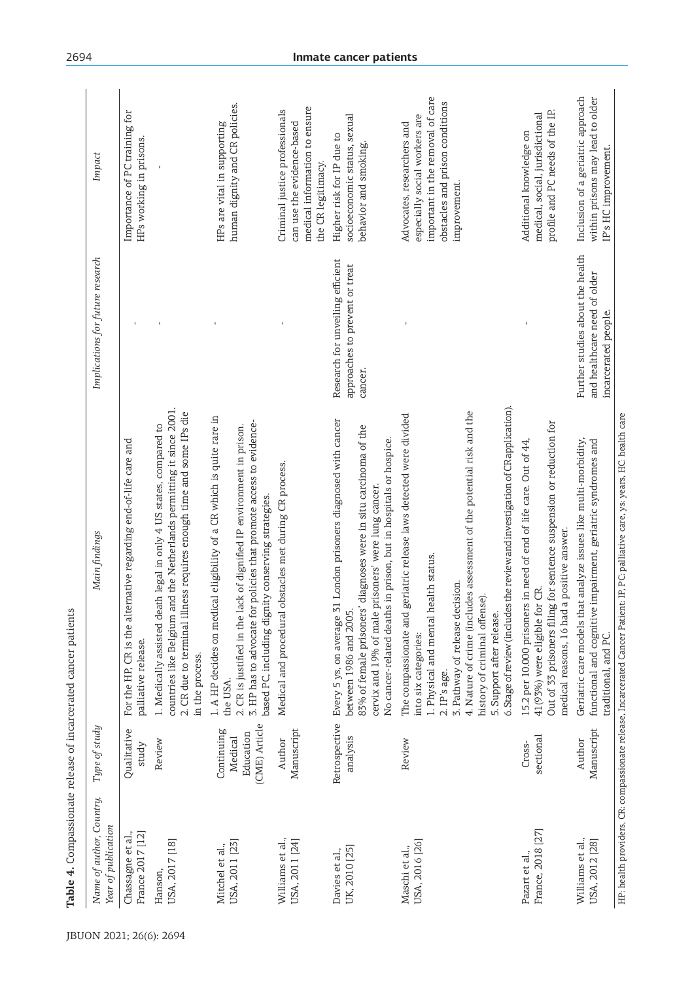| Name of author, Country,<br>Year of publication | Type of study                         | Main findings                                                                                                                                                                                                                                                                                                                                                                                                  | Implications for future research                                                         | Impact                                                                                                                                             |
|-------------------------------------------------|---------------------------------------|----------------------------------------------------------------------------------------------------------------------------------------------------------------------------------------------------------------------------------------------------------------------------------------------------------------------------------------------------------------------------------------------------------------|------------------------------------------------------------------------------------------|----------------------------------------------------------------------------------------------------------------------------------------------------|
| France 2017 [12]<br>Chassagne et al.,           | Qualitative<br>study                  | For the HP, CR is the alternative regarding end-of-life care and<br>palliative release.                                                                                                                                                                                                                                                                                                                        |                                                                                          | Importance of PC training for<br>HPs working in prisons.                                                                                           |
| USA, 2017 [18]<br>Hanson,                       | Review                                | countries like Belgium and the Netherlands permitting it since 2001<br>2. CR due to terminal illness requires enough time and some IPs die<br>1. Medically assisted death legal in only 4 US states, compared to<br>in the process.                                                                                                                                                                            |                                                                                          |                                                                                                                                                    |
| USA, 2011 [23]<br>Mitchel et al.,               | Continuing<br>Education<br>Medical    | 1. A HP decides on medical eligibility of a CR which is quite rare in<br>3. HP has to advocate for policies that promote access to evidence-<br>ck of dignified IP environment in prison.<br>2. CR is justified in the la<br>the USA.                                                                                                                                                                          |                                                                                          | human dignity and CR policies.<br>HPs are vital in supporting                                                                                      |
| Williams et al.,<br>USA, 2011 [24]              | (CME) Article<br>Manuscript<br>Author | Medical and procedural obstacles met during CR process.<br>based PC, including dignity conserving strategies.                                                                                                                                                                                                                                                                                                  |                                                                                          | medical information to ensure<br>Criminal justice professionals<br>can use the evidence-based<br>the CR legitimacy.                                |
| UK, 2010 [25]<br>Davies et al.,                 | Retrospective<br>analysis             | Every 5 ys, on average 31 London prisoners diagnosed with cancer<br>diagnoses were in situ carcinoma of the<br>No cancer-related deaths in prison, but in hospitals or hospice.<br>cervix and 19% of male prisoners' were lung cancer.<br>83% of female prisoners'<br>between 1986 and 2005.                                                                                                                   | Research for unveiling efficient<br>approaches to prevent or treat<br>cancer.            | socioeconomic status, sexual<br>Higher risk for IP due to<br>behavior and smoking.                                                                 |
| USA, 2016 [26]<br>Maschi et al.,                | Review                                | 6. Stage of review (includes the review and investigation of CR application).<br>4. Nature of crime (includes assessment of the potential risk and the<br>The compassionate and geriatric release laws detected were divided<br>1. Physical and mental health status.<br>3. Pathway of release decision.<br>history of criminal offense).<br>5. Support after release.<br>into six categories:<br>2. IP's age. |                                                                                          | important in the removal of care<br>obstacles and prison conditions<br>especially social workers are<br>Advocates, researchers and<br>improvement. |
| France, 2018 [27]<br>Pazart et al.,             | sectional<br>Cross-                   | Out of 33 prisoners filing for sentence suspension or reduction for<br>15.2 per 10.000 prisoners in need of end of life care. Out of 44<br>a positive answer.<br>41(93%) were eligible for CR.<br>medical reasons, 16 had                                                                                                                                                                                      |                                                                                          | profile and PC needs of the IP.<br>medical, social, jurisdictional<br>Additional knowledge on                                                      |
| Williams et al.,<br>USA, 2012 [28]              | Manuscript<br>Author                  | Geriatric care models that analyze issues like multi-morbidity,<br>functional and cognitive impairment, geriatric syndromes and<br>traditional, and PC.                                                                                                                                                                                                                                                        | Further studies about the health<br>and healthcare need of older<br>incarcerated people. | Inclusion of a geriatric approach<br>within prisons may lead to older<br>IP's HC improvement.                                                      |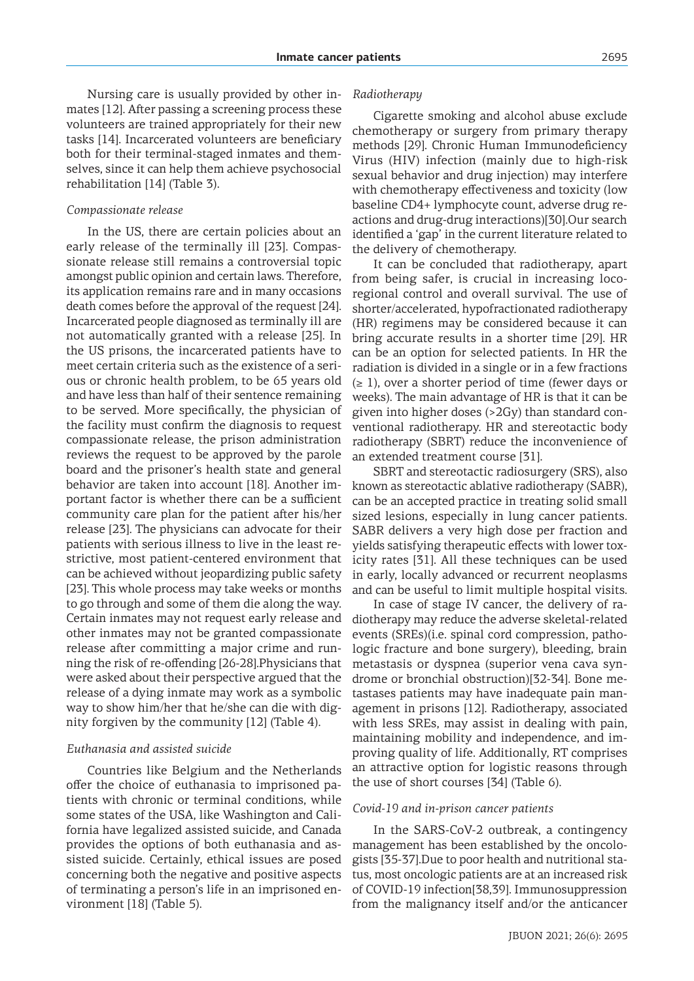Nursing care is usually provided by other inmates [12]. After passing a screening process these volunteers are trained appropriately for their new tasks [14]. Incarcerated volunteers are beneficiary both for their terminal-staged inmates and themselves, since it can help them achieve psychosocial rehabilitation [14] (Table 3).

### *Compassionate release*

In the US, there are certain policies about an early release of the terminally ill [23]. Compassionate release still remains a controversial topic amongst public opinion and certain laws. Therefore, its application remains rare and in many occasions death comes before the approval of the request [24]. Incarcerated people diagnosed as terminally ill are not automatically granted with a release [25]. In the US prisons, the incarcerated patients have to meet certain criteria such as the existence of a serious or chronic health problem, to be 65 years old and have less than half of their sentence remaining to be served. More specifically, the physician of the facility must confirm the diagnosis to request compassionate release, the prison administration reviews the request to be approved by the parole board and the prisoner's health state and general behavior are taken into account [18]. Another important factor is whether there can be a sufficient community care plan for the patient after his/her release [23]. The physicians can advocate for their patients with serious illness to live in the least restrictive, most patient-centered environment that can be achieved without jeopardizing public safety [23]. This whole process may take weeks or months to go through and some of them die along the way. Certain inmates may not request early release and other inmates may not be granted compassionate release after committing a major crime and running the risk of re-offending [26-28].Physicians that were asked about their perspective argued that the release of a dying inmate may work as a symbolic way to show him/her that he/she can die with dignity forgiven by the community [12] (Table 4).

#### *Euthanasia and assisted suicide*

Countries like Belgium and the Netherlands offer the choice of euthanasia to imprisoned patients with chronic or terminal conditions, while some states of the USA, like Washington and California have legalized assisted suicide, and Canada provides the options of both euthanasia and assisted suicide. Certainly, ethical issues are posed concerning both the negative and positive aspects of terminating a person's life in an imprisoned environment [18] (Table 5).

### *Radiotherapy*

Cigarette smoking and alcohol abuse exclude chemotherapy or surgery from primary therapy methods [29]. Chronic Human Immunodeficiency Virus (HIV) infection (mainly due to high-risk sexual behavior and drug injection) may interfere with chemotherapy effectiveness and toxicity (low baseline CD4+ lymphocyte count, adverse drug reactions and drug-drug interactions)[30].Our search identified a 'gap' in the current literature related to the delivery of chemotherapy.

It can be concluded that radiotherapy, apart from being safer, is crucial in increasing locoregional control and overall survival. The use of shorter/accelerated, hypofractionated radiotherapy (HR) regimens may be considered because it can bring accurate results in a shorter time [29]. HR can be an option for selected patients. In HR the radiation is divided in a single or in a few fractions  $(\geq 1)$ , over a shorter period of time (fewer days or weeks). The main advantage of HR is that it can be given into higher doses (>2Gy) than standard conventional radiotherapy. HR and stereotactic body radiotherapy (SBRT) reduce the inconvenience of an extended treatment course [31].

SBRT and stereotactic radiosurgery (SRS), also known as stereotactic ablative radiotherapy (SABR), can be an accepted practice in treating solid small sized lesions, especially in lung cancer patients. SABR delivers a very high dose per fraction and yields satisfying therapeutic effects with lower toxicity rates [31]. All these techniques can be used in early, locally advanced or recurrent neoplasms and can be useful to limit multiple hospital visits.

In case of stage IV cancer, the delivery of radiotherapy may reduce the adverse skeletal-related events (SREs)(i.e. spinal cord compression, pathologic fracture and bone surgery), bleeding, brain metastasis or dyspnea (superior vena cava syndrome or bronchial obstruction)[32-34]. Bone metastases patients may have inadequate pain management in prisons [12]. Radiotherapy, associated with less SREs, may assist in dealing with pain, maintaining mobility and independence, and improving quality of life. Additionally, RT comprises an attractive option for logistic reasons through the use of short courses [34] (Table 6).

#### *Covid-19 and in-prison cancer patients*

In the SARS-CoV-2 outbreak, a contingency management has been established by the oncologists [35-37].Due to poor health and nutritional status, most oncologic patients are at an increased risk of COVID-19 infection[38,39]. Immunosuppression from the malignancy itself and/or the anticancer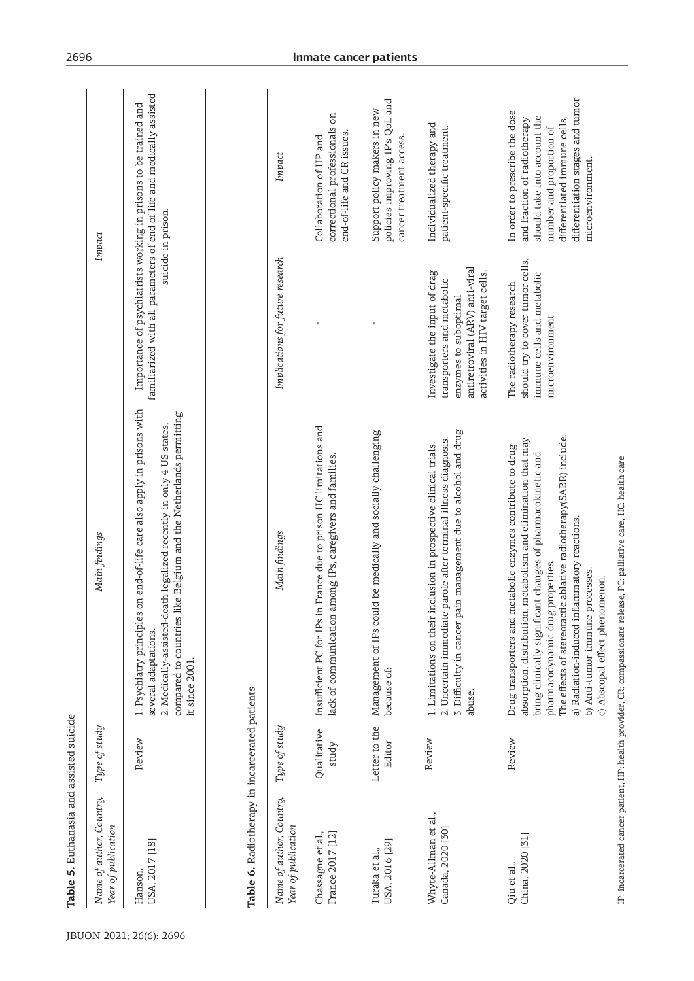| Name of author, Country,<br>Year of publication | Type of study           | Main findings                                                                                                                                                                                                                                                                                                                                                                                                           |                                                                                                                                                            | Impact                                                                                                                                                                                                              |
|-------------------------------------------------|-------------------------|-------------------------------------------------------------------------------------------------------------------------------------------------------------------------------------------------------------------------------------------------------------------------------------------------------------------------------------------------------------------------------------------------------------------------|------------------------------------------------------------------------------------------------------------------------------------------------------------|---------------------------------------------------------------------------------------------------------------------------------------------------------------------------------------------------------------------|
| USA, 2017 [18]<br>Hanson,                       | Review                  | 1. Psychiatry principles on end-of-life care also apply in prisons with<br>compared to countries like Belgium and the Netherlands permitting<br>2. Medically-assisted-death legalized recently in only 4 US states,<br>several adaptations.<br>it since 2001.                                                                                                                                                           |                                                                                                                                                            | familiarized with all parameters of end of life and medically assisted<br>Importance of psychiatrists working in prisons to be trained and<br>suicide in prison.                                                    |
| Table 6. Radiotherapy in incarcerated patients  |                         |                                                                                                                                                                                                                                                                                                                                                                                                                         |                                                                                                                                                            |                                                                                                                                                                                                                     |
| Name of author, Country,<br>Year of publication | Type of study           | Main findings                                                                                                                                                                                                                                                                                                                                                                                                           | Implications for future research                                                                                                                           | Impact                                                                                                                                                                                                              |
| Chassagne et al.,<br>France 2017 [12]           | Qualitative<br>study    | Insufficient PC for IPs in France due to prison HC limitations and<br>lack of communication among IPs, caregivers and families.                                                                                                                                                                                                                                                                                         |                                                                                                                                                            | correctional professionals on<br>end-of-life and CR issues.<br>Collaboration of HP and                                                                                                                              |
| USA, 2016 [29]<br>Turaka et al.,                | Letter to the<br>Editor | Management of IPs could be medically and socially challenging<br>because of:                                                                                                                                                                                                                                                                                                                                            |                                                                                                                                                            | policies improving IP's QoL and<br>Support policy makers in new<br>cancer treatment access.                                                                                                                         |
| Whyte-Allman et al.,<br>Canada, 2020 [30]       | Review                  | management due to alcohol and drug<br>2. Uncertain immediate parole after terminal illness diagnosis.<br>1. Limitations on their inclusion in prospective clinical trials.<br>3. Difficulty in cancer pain<br>abuse.                                                                                                                                                                                                    | antiretroviral (ARV) anti-viral<br>Investigate the input of drag<br>activities in HIV target cells.<br>transporters and metabolic<br>enzymes to suboptimal | Individualized therapy and<br>patient-specific treatment.                                                                                                                                                           |
| China, 2020 [31]<br>Qiu et al.,                 | Review                  | The effects of stereotactic ablative radiotherapy(SABR) include:<br>absorption, distribution, metabolism and elimination that may<br>Drug transporters and metabolic enzymes contribute to drug<br>bring clinically significant changes of pharmacokinetic and<br>a) Radiation-induced inflammatory reactions.<br>pharmacodynamic drug properties.<br>b) Anti-tumor immune processes.<br>c) Abscopal effect phenomenon. | should try to cover tumor cells,<br>immune cells and metabolic<br>The radiotherapy research<br>microenvironment                                            | differentiation stages and tumor<br>In order to prescribe the dose<br>should take into account the<br>and fraction of radiotherapy<br>differentiated immune cells,<br>number and proportion of<br>microenvironment. |

Table 5. Euthanasia and assisted suicide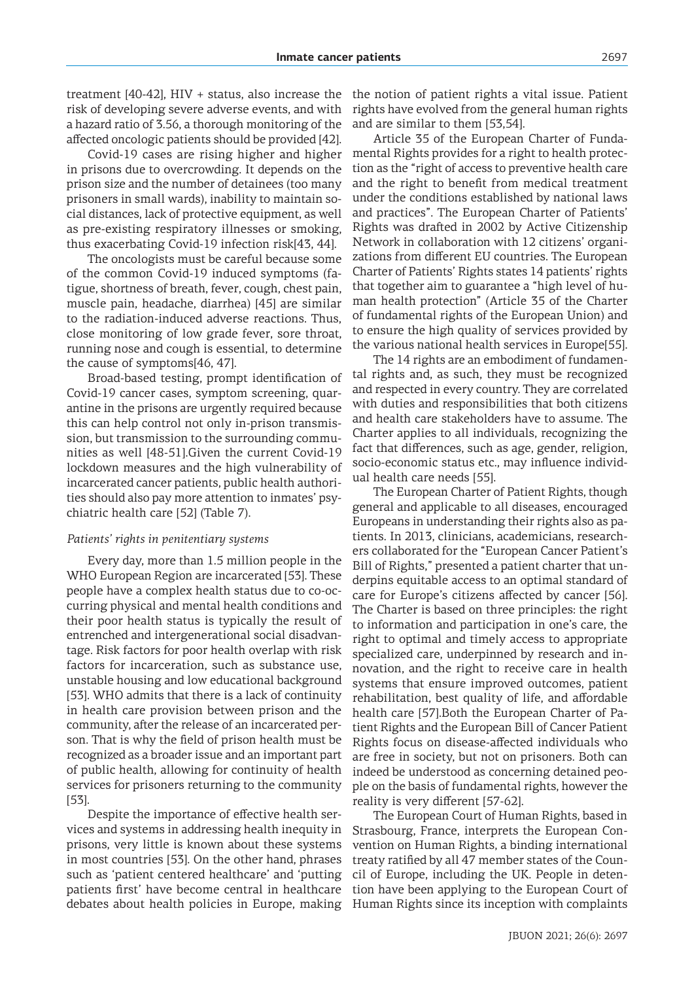treatment [40-42], HIV + status, also increase the risk of developing severe adverse events, and with a hazard ratio of 3.56, a thorough monitoring of the affected oncologic patients should be provided [42].

Covid-19 cases are rising higher and higher in prisons due to overcrowding. It depends on the prison size and the number of detainees (too many prisoners in small wards), inability to maintain social distances, lack of protective equipment, as well as pre-existing respiratory illnesses or smoking, thus exacerbating Covid-19 infection risk[43, 44].

The oncologists must be careful because some of the common Covid-19 induced symptoms (fatigue, shortness of breath, fever, cough, chest pain, muscle pain, headache, diarrhea) [45] are similar to the radiation-induced adverse reactions. Thus, close monitoring of low grade fever, sore throat, running nose and cough is essential, to determine the cause of symptoms[46, 47].

Broad-based testing, prompt identification of Covid-19 cancer cases, symptom screening, quarantine in the prisons are urgently required because this can help control not only in-prison transmission, but transmission to the surrounding communities as well [48-51].Given the current Covid-19 lockdown measures and the high vulnerability of incarcerated cancer patients, public health authorities should also pay more attention to inmates' psychiatric health care [52] (Table 7).

### *Patients' rights in penitentiary systems*

Every day, more than 1.5 million people in the WHO European Region are incarcerated [53]. These people have a complex health status due to co-occurring physical and mental health conditions and their poor health status is typically the result of entrenched and intergenerational social disadvantage. Risk factors for poor health overlap with risk factors for incarceration, such as substance use, unstable housing and low educational background [53]. WHO admits that there is a lack of continuity in health care provision between prison and the community, after the release of an incarcerated person. That is why the field of prison health must be recognized as a broader issue and an important part of public health, allowing for continuity of health services for prisoners returning to the community [53].

Despite the importance of effective health services and systems in addressing health inequity in prisons, very little is known about these systems in most countries [53]. On the other hand, phrases such as 'patient centered healthcare' and 'putting patients first' have become central in healthcare debates about health policies in Europe, making Human Rights since its inception with complaints

the notion of patient rights a vital issue. Patient rights have evolved from the general human rights and are similar to them [53,54].

Article 35 of the European Charter of Fundamental Rights provides for a right to health protection as the "right of access to preventive health care and the right to benefit from medical treatment under the conditions established by national laws and practices". The European Charter of Patients' Rights was drafted in 2002 by Active Citizenship Network in collaboration with 12 citizens' organizations from different EU countries. The European Charter of Patients' Rights states 14 patients' rights that together aim to guarantee a "high level of human health protection" (Article 35 of the Charter of fundamental rights of the European Union) and to ensure the high quality of services provided by the various national health services in Europe[55].

The 14 rights are an embodiment of fundamental rights and, as such, they must be recognized and respected in every country. They are correlated with duties and responsibilities that both citizens and health care stakeholders have to assume. The Charter applies to all individuals, recognizing the fact that differences, such as age, gender, religion, socio-economic status etc., may influence individual health care needs [55].

The European Charter of Patient Rights, though general and applicable to all diseases, encouraged Europeans in understanding their rights also as patients. In 2013, clinicians, academicians, researchers collaborated for the "European Cancer Patient's Bill of Rights," presented a patient charter that underpins equitable access to an optimal standard of care for Europe's citizens affected by cancer [56]. The Charter is based on three principles: the right to information and participation in one's care, the right to optimal and timely access to appropriate specialized care, underpinned by research and innovation, and the right to receive care in health systems that ensure improved outcomes, patient rehabilitation, best quality of life, and affordable health care [57].Both the European Charter of Patient Rights and the European Bill of Cancer Patient Rights focus on disease-affected individuals who are free in society, but not on prisoners. Both can indeed be understood as concerning detained people on the basis of fundamental rights, however the reality is very different [57-62].

The European Court of Human Rights, based in Strasbourg, France, interprets the European Convention on Human Rights, a binding international treaty ratified by all 47 member states of the Council of Europe, including the UK. People in detention have been applying to the European Court of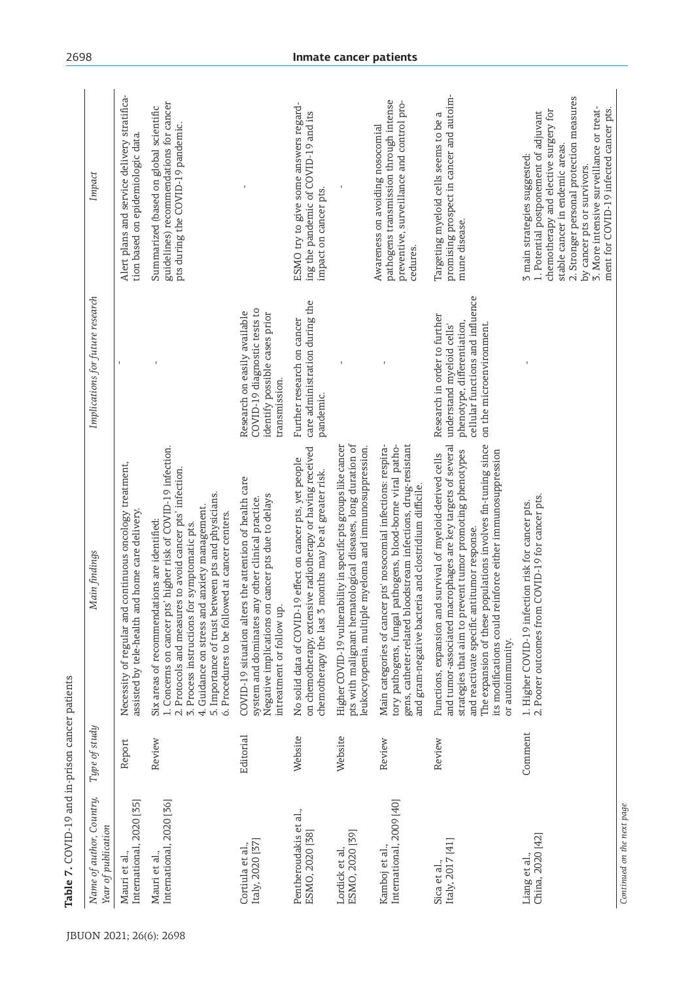| Name of author, Country,<br>Year of publication | Type of study | Main findings                                                                                                                                                                                                                                                                                                                                                                           | Implications for future research                                                                                                                         | Impact                                                                                                                                                                                                                                                                                                             |
|-------------------------------------------------|---------------|-----------------------------------------------------------------------------------------------------------------------------------------------------------------------------------------------------------------------------------------------------------------------------------------------------------------------------------------------------------------------------------------|----------------------------------------------------------------------------------------------------------------------------------------------------------|--------------------------------------------------------------------------------------------------------------------------------------------------------------------------------------------------------------------------------------------------------------------------------------------------------------------|
| International, 2020 [35]<br>Mauri et al.        | Report        | continuous oncology treatment,<br>assisted by tele-health and home care delivery.<br>Necessity of regular and                                                                                                                                                                                                                                                                           |                                                                                                                                                          | Alert plans and service delivery stratifica-<br>tion based on epidemiologic data                                                                                                                                                                                                                                   |
| International, 2020 [36]<br>Mauri et al.,       | Review        | 1. Concerns on cancer pts' higher risk of COVID-19 infection.<br>2. Protocols and measures to avoid cancer pts' infection.<br>5. Importance of trust between pts and physicians.<br>4. Guidance on stress and anxiety management.<br>6. Procedures to be followed at cancer centers.<br>Six areas of recommendations are identified:<br>3. Process instructions for symptomatic pts.    |                                                                                                                                                          | guidelines) recommendations for cancer<br>Summarized (based on global scientific<br>pts during the COVID-19 pandemic.                                                                                                                                                                                              |
| Italy, 2020 [37]<br>Cortiula et al.,            | Editorial     | COVID-19 situation alters the attention of health care<br>Negative implications on cancer pts due to delays<br>system and dominates any other clinical practice.<br>intreatment or follow up                                                                                                                                                                                            | COVID-19 diagnostic tests to<br>Research on easily available<br>identify possible cases prior<br>transmission.                                           |                                                                                                                                                                                                                                                                                                                    |
| Pentheroudakis et al.,<br>ESMO, 2020 [38]       | Website       | on chemotherapy, extensive radiotherapy or having received<br>19 effect on cancer pts, yet people<br>chemotherapy the last 3 months may be at greater risk.<br>No solid data of COVID-                                                                                                                                                                                                  | care administration during the<br>Further research on cancer<br>pandemic.                                                                                | ESMO try to give some answers regard-<br>ing the pandemic of COVID-19 and its<br>impact on cancer pts.                                                                                                                                                                                                             |
| ESMO, 2020 [39]<br>Lordick et al,               | Website       | pts with malignant hematological diseases, long duration of<br>Higher COVID-19 vulnerability in specific pts groups like cancer<br>leukocytopenia, multiple myeloma and immunosuppression.                                                                                                                                                                                              |                                                                                                                                                          |                                                                                                                                                                                                                                                                                                                    |
| International, 2009 [40]<br>Kamboj et al.,      | Review        | oodstream infections, drug-resistant<br>tory pathogens, fungal pathogens, blood-borne viral patho-<br>Main categories of cancer pts' nosocomial infections: respira-<br>and gram-negative bacteria and clostridium difficile.<br>gens, catheter-related bl                                                                                                                              |                                                                                                                                                          | pathogens transmission through intense<br>preventive, surveillance and control pro-<br>Awareness on avoiding nosocomial<br>cedures.                                                                                                                                                                                |
| Italy, 2017 [41]<br>Sica et al.,                | Review        | The expansion of these populations involves fin-tuning since<br>and tumor-associated macrophages are key targets of several<br>strategies that aim to prevent tumor promoting phenotypes<br>its modifications could reinforce either immunosuppression<br>Functions, expansion and survival of myeloid-derived cells<br>and reactivate specific antitumor response.<br>or autoimmunity. | cellular functions and influence<br>Research in order to further<br>phenotype, differentiation,<br>on the microenvironment.<br>understand myeloid cells' | promising prospect in cancer and autoim-<br>Targeting myeloid cells seems to be a<br>mune disease.                                                                                                                                                                                                                 |
| China, 2020 [42]<br>Liang et al.,               | Comment       | COVID-19 for cancer pts.<br>1. Higher COVID-19 infection risk for cancer pts.<br>2. Poorer outcomes from                                                                                                                                                                                                                                                                                |                                                                                                                                                          | 2. Stronger personal protection measures<br>3. More intensive surveillance or treat-<br>ment for COVID-19 infected cancer pts.<br>chemotherapy and elective surgery for<br>1. Potential postponement of adjuvant<br>stable cancer in endemic areas.<br>3 main strategies suggested:<br>by cancer pts or survivors. |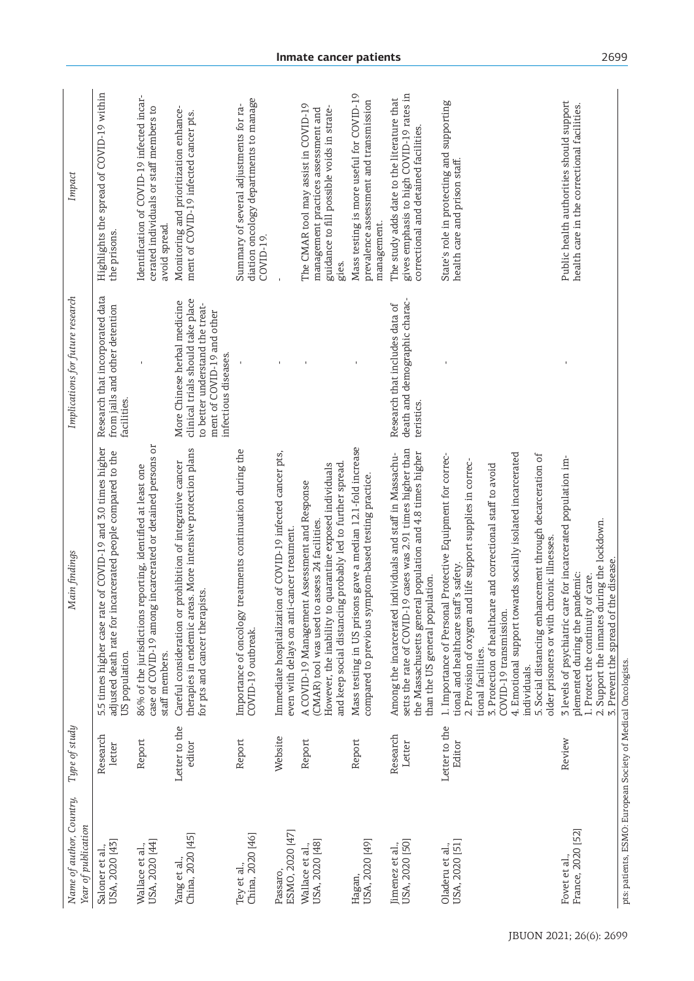| Name of author, Country,<br>Year of publication               | Type of study           | Main findings                                                                                                                                                                                                                                                                                                                                                                                                                                                               | Implications for future research                                                                                                                           | Impact                                                                                                                             |
|---------------------------------------------------------------|-------------------------|-----------------------------------------------------------------------------------------------------------------------------------------------------------------------------------------------------------------------------------------------------------------------------------------------------------------------------------------------------------------------------------------------------------------------------------------------------------------------------|------------------------------------------------------------------------------------------------------------------------------------------------------------|------------------------------------------------------------------------------------------------------------------------------------|
| USA, 2020 [43]<br>Saloner et al.,                             | Research<br>letter      | 5.5 times higher case rate of COVID-19 and 3.0 times higher<br>adjusted death rate for incarcerated people compared to the<br>US population.                                                                                                                                                                                                                                                                                                                                | Research that incorporated data<br>from jails and other detention<br>facilities.                                                                           | Highlights the spread of COVID-19 within<br>the prisons.                                                                           |
| USA, 2020 [44]<br>Wallace et al.,                             | Report                  | case of COVID-19 among incarcerated or detained persons or<br>86% of the jurisdictions reporting, identified at least one<br>staff members.                                                                                                                                                                                                                                                                                                                                 |                                                                                                                                                            | Identification of COVID-19 infected incar-<br>cerated individuals or staff members to<br>avoid spread.                             |
| Yang et al.,<br>China, 2020 [45]                              | Letter to the<br>editor | therapies in endemic areas. More intensive protection plans<br>prohibition of integrative cancer<br>for pts and cancer therapists.<br>Careful consideration or                                                                                                                                                                                                                                                                                                              | clinical trials should take place<br>More Chinese herbal medicine<br>to better understand the treat-<br>ment of COVID-19 and other<br>infectious diseases. | Monitoring and prioritization enhance-<br>ment of COVID-19 infected cancer pts.                                                    |
| China, 2020 [46]<br>Tey et al.,                               | Report                  | treatments continuation during the<br>Importance of oncology<br>COVID-19 outbreak.                                                                                                                                                                                                                                                                                                                                                                                          |                                                                                                                                                            | diation oncology departments to manage<br>Summary of several adjustments for ra-<br>COVID-19.                                      |
| ESMO, 2020 [47]<br>Passaro,                                   | Website                 | Immediate hospitalization of COVID-19 infected cancer pts,<br>even with delays on anti-cancer treatment.                                                                                                                                                                                                                                                                                                                                                                    |                                                                                                                                                            |                                                                                                                                    |
| USA, 2020 [48]<br>Wallace et al.,                             | Report                  | and keep social distancing probably led to further spread.<br>quarantine exposed individuals<br>A COVID-19 Management Assessment and Response<br>(CMAR) tool was used to assess 24 facilities.<br>However, the inability to                                                                                                                                                                                                                                                 |                                                                                                                                                            | The CMAR tool may assist in COVID-19<br>guidance to fill possible voids in strate-<br>management practices assessment and<br>gies. |
| USA, 2020 [49]<br>Hagan,                                      | Report                  | Mass testing in US prisons gave a median 12.1-fold increase<br>compared to previous symptom-based testing practice.                                                                                                                                                                                                                                                                                                                                                         |                                                                                                                                                            | Mass testing is more useful for COVID-19<br>prevalence assessment and transmission<br>management.                                  |
| USA, 2020 [50]<br>Jimenez et al.,                             | Research<br>Letter      | setts the rate of COVID-19 cases was 2.91 times higher than<br>the Massachusetts general population and 4.8 times higher<br>individuals and staff in Massachu-<br>than the US general population.<br>Among the incarcerated                                                                                                                                                                                                                                                 | death and demographic charac-<br>Research that includes data of<br>teristics.                                                                              | gives emphasis to high COVID-19 rates in<br>The study adds date to the literature that<br>correctional and detained facilities.    |
| USA, 2020 [51]<br>Oladeru et al.,                             | Letter to the<br>Editor | 4. Emotional support towards socially isolated incarcerated<br>5. Social distancing enhancement through decarceration of<br>1. Importance of Personal Protective Equipment for correc-<br>2. Provision of oxygen and life support supplies in correc-<br>3. Protection of healthcare and correctional staff to avoid<br>older prisoners or with chronic illnesses.<br>tional and healthcare staff's safety.<br>COVID-19 transmission.<br>tional facilities.<br>individuals. |                                                                                                                                                            | State's role in protecting and supporting<br>health care and prison staff.                                                         |
| France, 2020 [52]<br>Fovet et al.,                            | Review                  | 5 levels of psychiatric care for incarcerated population im-<br>2. Support the inmates during the lockdown.<br>the disease.<br>plemented during the pandemic:<br>1. Protect the continuity of care.<br>3. Prevent the spread of                                                                                                                                                                                                                                             |                                                                                                                                                            | Public health authorities should support<br>health care in the correctional facilities.                                            |
| pts: patients, ESMO: European Society of Medical Oncologists. |                         |                                                                                                                                                                                                                                                                                                                                                                                                                                                                             |                                                                                                                                                            |                                                                                                                                    |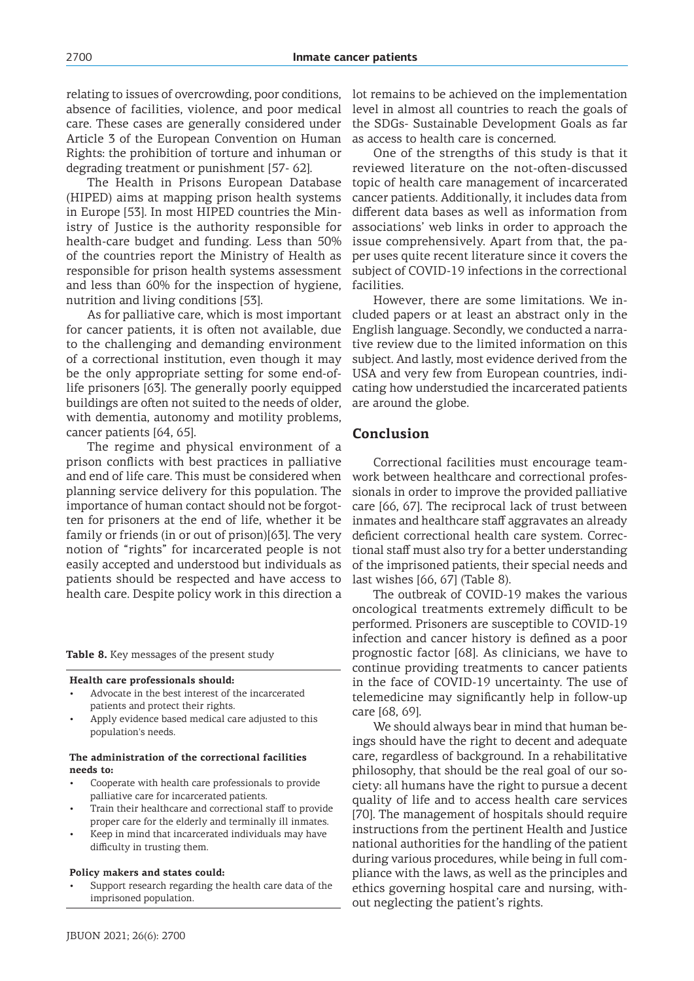relating to issues of overcrowding, poor conditions, absence of facilities, violence, and poor medical care. These cases are generally considered under Article 3 of the European Convention on Human Rights: the prohibition of torture and inhuman or degrading treatment or punishment [57- 62].

The Health in Prisons European Database (HIPED) aims at mapping prison health systems in Europe [53]. In most HIPED countries the Ministry of Justice is the authority responsible for health-care budget and funding. Less than 50% of the countries report the Ministry of Health as responsible for prison health systems assessment and less than 60% for the inspection of hygiene, nutrition and living conditions [53].

As for palliative care, which is most important for cancer patients, it is often not available, due to the challenging and demanding environment of a correctional institution, even though it may be the only appropriate setting for some end-oflife prisoners [63]. The generally poorly equipped buildings are often not suited to the needs of older, with dementia, autonomy and motility problems, cancer patients [64, 65].

The regime and physical environment of a prison conflicts with best practices in palliative and end of life care. This must be considered when planning service delivery for this population. The importance of human contact should not be forgotten for prisoners at the end of life, whether it be family or friends (in or out of prison)[63]. The very notion of "rights" for incarcerated people is not easily accepted and understood but individuals as patients should be respected and have access to health care. Despite policy work in this direction a

**Table 8.** Key messages of the present study

#### **Health care professionals should:**

- Advocate in the best interest of the incarcerated patients and protect their rights.
- Apply evidence based medical care adjusted to this population's needs.

#### **The administration of the correctional facilities needs to:**

- Cooperate with health care professionals to provide palliative care for incarcerated patients.
- Train their healthcare and correctional staff to provide proper care for the elderly and terminally ill inmates.
- Keep in mind that incarcerated individuals may have difficulty in trusting them.

#### **Policy makers and states could:**

Support research regarding the health care data of the imprisoned population.

lot remains to be achieved on the implementation level in almost all countries to reach the goals of the SDGs- Sustainable Development Goals as far as access to health care is concerned.

One of the strengths of this study is that it reviewed literature on the not-often-discussed topic of health care management of incarcerated cancer patients. Additionally, it includes data from different data bases as well as information from associations' web links in order to approach the issue comprehensively. Apart from that, the paper uses quite recent literature since it covers the subject of COVID-19 infections in the correctional facilities.

However, there are some limitations. We included papers or at least an abstract only in the English language. Secondly, we conducted a narrative review due to the limited information on this subject. And lastly, most evidence derived from the USA and very few from European countries, indicating how understudied the incarcerated patients are around the globe.

### **Conclusion**

Correctional facilities must encourage teamwork between healthcare and correctional professionals in order to improve the provided palliative care [66, 67]. The reciprocal lack of trust between inmates and healthcare staff aggravates an already deficient correctional health care system. Correctional staff must also try for a better understanding of the imprisoned patients, their special needs and last wishes [66, 67] (Table 8).

The outbreak of COVID-19 makes the various oncological treatments extremely difficult to be performed. Prisoners are susceptible to COVID-19 infection and cancer history is defined as a poor prognostic factor [68]. As clinicians, we have to continue providing treatments to cancer patients in the face of COVID-19 uncertainty. The use of telemedicine may significantly help in follow-up care [68, 69].

We should always bear in mind that human beings should have the right to decent and adequate care, regardless of background. In a rehabilitative philosophy, that should be the real goal of our society: all humans have the right to pursue a decent quality of life and to access health care services [70]. The management of hospitals should require instructions from the pertinent Health and Justice national authorities for the handling of the patient during various procedures, while being in full compliance with the laws, as well as the principles and ethics governing hospital care and nursing, without neglecting the patient's rights.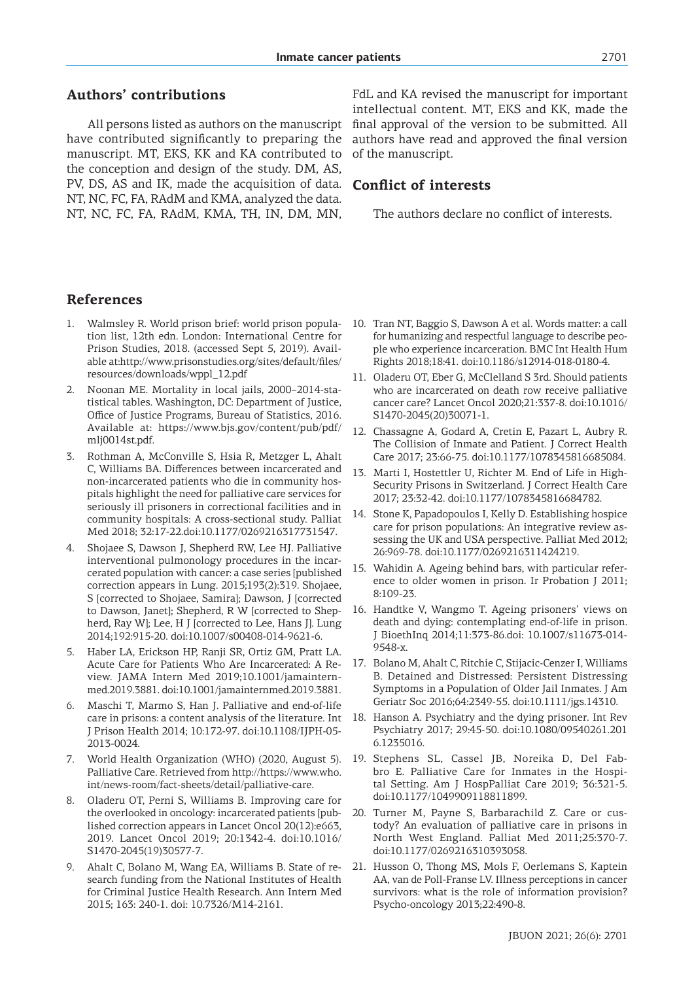# **Authors' contributions**

All persons listed as authors on the manuscript have contributed significantly to preparing the manuscript. MT, EKS, KK and ΚΑ contributed to the conception and design of the study. DM, AS, PV, DS, AS and IK, made the acquisition of data. NT, NC, FC, FA, RAdM and KMA, analyzed the data. NT, NC, FC, FA, RAdM, KMA, TH, IN, DM, MN,

FdL and KA revised the manuscript for important intellectual content. MT, EKS and KK, made the final approval of the version to be submitted. All authors have read and approved the final version of the manuscript.

# **Conflict of interests**

The authors declare no conflict of interests.

# **References**

- 1. Walmsley R. World prison brief: world prison population list, 12th edn. London: International Centre for Prison Studies, 2018. (accessed Sept 5, 2019). Available at:http://www.prisonstudies.org/sites/default/files/ resources/downloads/wppl\_12.pdf
- 2. Noonan ME. Mortality in local jails, 2000–2014-statistical tables. Washington, DC: Department of Justice, Office of Justice Programs, Bureau of Statistics, 2016. Available at: https://www.bjs.gov/content/pub/pdf/ mlj0014st.pdf.
- 3. Rothman A, McConville S, Hsia R, Metzger L, Ahalt C, Williams BA. Differences between incarcerated and non-incarcerated patients who die in community hospitals highlight the need for palliative care services for seriously ill prisoners in correctional facilities and in community hospitals: A cross-sectional study. Palliat Med 2018; 32:17-22.doi:10.1177/0269216317731547.
- 4. Shojaee S, Dawson J, Shepherd RW, Lee HJ. Palliative interventional pulmonology procedures in the incarcerated population with cancer: a case series [published correction appears in Lung. 2015;193(2):319. Shojaee, S [corrected to Shojaee, Samira]; Dawson, J [corrected to Dawson, Janet]; Shepherd, R W [corrected to Shepherd, Ray W]; Lee, H J [corrected to Lee, Hans J]. Lung 2014;192:915-20. doi:10.1007/s00408-014-9621-6.
- 5. Haber LA, Erickson HP, Ranji SR, Ortiz GM, Pratt LA. Acute Care for Patients Who Are Incarcerated: A Review. JAMA Intern Med 2019;10.1001/jamainternmed.2019.3881. doi:10.1001/jamainternmed.2019.3881.
- 6. Maschi T, Marmo S, Han J. Palliative and end-of-life care in prisons: a content analysis of the literature. Int J Prison Health 2014; 10:172-97. doi:10.1108/IJPH-05- 2013-0024.
- 7. World Health Organization (WHO) (2020, August 5). Palliative Care. Retrieved from http://https://www.who. int/news-room/fact-sheets/detail/palliative-care.
- 8. Oladeru OT, Perni S, Williams B. Improving care for the overlooked in oncology: incarcerated patients [published correction appears in Lancet Oncol 20(12):e663, 2019. Lancet Oncol 2019; 20:1342-4. doi:10.1016/ S1470-2045(19)30577-7.
- 9. Ahalt C, Bolano M, Wang EA, Williams B. State of research funding from the National Institutes of Health for Criminal Justice Health Research. Ann Intern Med 2015; 163: 240-1. doi: 10.7326/M14-2161.
- 10. Tran NT, Baggio S, Dawson A et al. Words matter: a call for humanizing and respectful language to describe people who experience incarceration. BMC Int Health Hum Rights 2018;18:41. doi:10.1186/s12914-018-0180-4.
- 11. Oladeru OT, Eber G, McClelland S 3rd. Should patients who are incarcerated on death row receive palliative cancer care? Lancet Oncol 2020;21:337-8. doi:10.1016/ S1470-2045(20)30071-1.
- 12. Chassagne A, Godard A, Cretin E, Pazart L, Aubry R. The Collision of Inmate and Patient. J Correct Health Care 2017; 23:66-75. doi:10.1177/1078345816685084.
- 13. Marti I, Hostettler U, Richter M. End of Life in High-Security Prisons in Switzerland. J Correct Health Care 2017; 23:32-42. doi:10.1177/1078345816684782.
- 14. Stone K, Papadopoulos I, Kelly D. Establishing hospice care for prison populations: An integrative review assessing the UK and USA perspective. Palliat Med 2012; 26:969-78. doi:10.1177/0269216311424219.
- 15. Wahidin A. Ageing behind bars, with particular reference to older women in prison. Ir Probation J 2011; 8:109-23.
- 16. Handtke V, Wangmo T. Ageing prisoners' views on death and dying: contemplating end-of-life in prison. J BioethInq 2014;11:373-86.doi: 10.1007/s11673-014- 9548-x.
- 17. Bolano M, Ahalt C, Ritchie C, Stijacic-Cenzer I, Williams B. Detained and Distressed: Persistent Distressing Symptoms in a Population of Older Jail Inmates. J Am Geriatr Soc 2016;64:2349-55. doi:10.1111/jgs.14310.
- 18. Hanson A. Psychiatry and the dying prisoner. Int Rev Psychiatry 2017; 29:45-50. doi:10.1080/09540261.201 6.1235016.
- 19. Stephens SL, Cassel JB, Noreika D, Del Fabbro E. Palliative Care for Inmates in the Hospital Setting. Am J HospPalliat Care 2019; 36:321-5. doi:10.1177/1049909118811899.
- 20. Turner M, Payne S, Barbarachild Z. Care or custody? An evaluation of palliative care in prisons in North West England. Palliat Med 2011;25:370-7. doi:10.1177/0269216310393058.
- 21. Husson O, Thong MS, Mols F, Oerlemans S, Kaptein AA, van de Poll-Franse LV. Illness perceptions in cancer survivors: what is the role of information provision? Psycho-oncology 2013;22:490-8.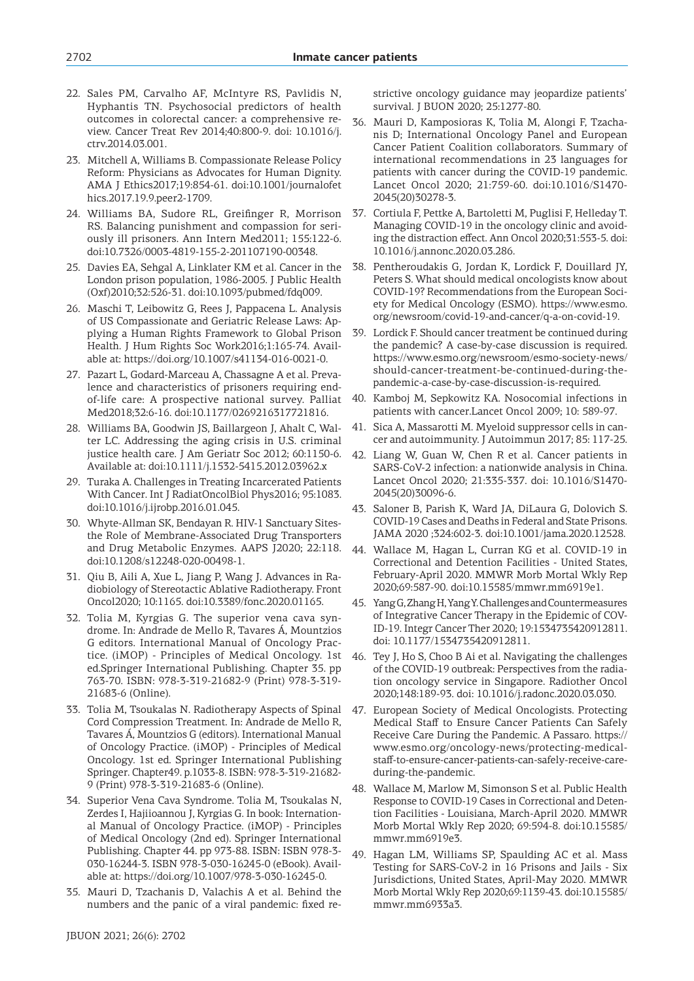- 22. Sales PM, Carvalho AF, McIntyre RS, Pavlidis N, Hyphantis TN. Psychosocial predictors of health outcomes in colorectal cancer: a comprehensive review. Cancer Treat Rev 2014;40:800-9. doi: 10.1016/j. ctrv.2014.03.001.
- 23. Mitchell A, Williams B. Compassionate Release Policy Reform: Physicians as Advocates for Human Dignity. AMA J Ethics2017;19:854-61. doi:10.1001/journalofet hics.2017.19.9.peer2-1709.
- 24. Williams BA, Sudore RL, Greifinger R, Morrison RS. Balancing punishment and compassion for seriously ill prisoners. Ann Intern Med2011; 155:122-6. doi:10.7326/0003-4819-155-2-201107190-00348.
- 25. Davies EA, Sehgal A, Linklater KM et al. Cancer in the London prison population, 1986-2005. J Public Health (Oxf)2010;32:526-31. doi:10.1093/pubmed/fdq009.
- 26. Maschi T, Leibowitz G, Rees J, Pappacena L. Analysis of US Compassionate and Geriatric Release Laws: Applying a Human Rights Framework to Global Prison Health. J Hum Rights Soc Work2016;1:165-74. Available at: https://doi.org/10.1007/s41134-016-0021-0.
- 27. Pazart L, Godard-Marceau A, Chassagne A et al. Prevalence and characteristics of prisoners requiring endof-life care: A prospective national survey. Palliat Med2018;32:6-16. doi:10.1177/0269216317721816.
- 28. Williams BA, Goodwin JS, Baillargeon J, Ahalt C, Walter LC. Addressing the aging crisis in U.S. criminal justice health care. J Am Geriatr Soc 2012; 60:1150-6. Available at: doi:10.1111/j.1532-5415.2012.03962.x
- 29. Turaka A. Challenges in Treating Incarcerated Patients With Cancer. Int J RadiatOncolBiol Phys2016; 95:1083. doi:10.1016/j.ijrobp.2016.01.045.
- 30. Whyte-Allman SK, Bendayan R. HIV-1 Sanctuary Sitesthe Role of Membrane-Associated Drug Transporters and Drug Metabolic Enzymes. AAPS J2020; 22:118. doi:10.1208/s12248-020-00498-1.
- 31. Qiu B, Aili A, Xue L, Jiang P, Wang J. Advances in Radiobiology of Stereotactic Ablative Radiotherapy. Front Oncol2020; 10:1165. doi:10.3389/fonc.2020.01165.
- 32. Tolia M, Kyrgias G. The superior vena cava syndrome. In: Andrade de Mello R, Tavares Á, Mountzios G editors. International Manual of Oncology Practice. (iMOP) - Principles of Medical Oncology. 1st ed.Springer International Publishing. Chapter 35. pp 763-70. ISBN: 978-3-319-21682-9 (Print) 978-3-319- 21683-6 (Online).
- 33. Tolia M, Tsoukalas N. Radiotherapy Aspects of Spinal Cord Compression Treatment. In: Andrade de Mello R, Tavares Á, Mountzios G (editors). International Manual of Oncology Practice. (iMOP) - Principles of Medical Oncology. 1st ed. Springer International Publishing Springer. Chapter49. p.1033-8. ISBN: 978-3-319-21682- 9 (Print) 978-3-319-21683-6 (Online).
- 34. Superior Vena Cava Syndrome. Tolia M, Tsoukalas N, Zerdes I, Hajiioannou J, Kyrgias G. In book: International Manual of Oncology Practice. (iMOP) - Principles of Medical Oncology (2nd ed). Springer International Publishing. Chapter 44. pp 973-88. ISBN: ISBN 978-3- 030-16244-3. ISBN 978-3-030-16245-0 (eBook). Available at: https://doi.org/10.1007/978-3-030-16245-0.
- 35. Mauri D, Tzachanis D, Valachis A et al. Behind the numbers and the panic of a viral pandemic: fixed re-

strictive oncology guidance may jeopardize patients' survival. J BUON 2020; 25:1277-80.

- 36. Mauri D, Kamposioras K, Tolia M, Alongi F, Tzachanis D; International Oncology Panel and European Cancer Patient Coalition collaborators. Summary of international recommendations in 23 languages for patients with cancer during the COVID-19 pandemic. Lancet Oncol 2020; 21:759-60. doi:10.1016/S1470- 2045(20)30278-3.
- 37. Cortiula F, Pettke A, Bartoletti M, Puglisi F, Helleday T. Managing COVID-19 in the oncology clinic and avoiding the distraction effect. Ann Oncol 2020;31:553-5. doi: 10.1016/j.annonc.2020.03.286.
- 38. Pentheroudakis G, Jordan K, Lordick F, Douillard JY, Peters S. What should medical oncologists know about COVID-19? Recommendations from the European Society for Medical Oncology (ESMO). https://www.esmo. org/newsroom/covid-19-and-cancer/q-a-on-covid-19.
- 39. Lordick F. Should cancer treatment be continued during the pandemic? A case-by-case discussion is required. https://www.esmo.org/newsroom/esmo-society-news/ should-cancer-treatment-be-continued-during-thepandemic-a-case-by-case-discussion-is-required.
- 40. Kamboj M, Sepkowitz KA. Nosocomial infections in patients with cancer.Lancet Oncol 2009; 10: 589-97.
- 41. Sica A, Massarotti M. Myeloid suppressor cells in cancer and autoimmunity. J Autoimmun 2017; 85: 117-25.
- 42. Liang W, Guan W, Chen R et al. Cancer patients in SARS-CoV-2 infection: a nationwide analysis in China. Lancet Oncol 2020; 21:335-337. doi: 10.1016/S1470- 2045(20)30096-6.
- 43. Saloner B, Parish K, Ward JA, DiLaura G, Dolovich S. COVID-19 Cases and Deaths in Federal and State Prisons. JAMA 2020 ;324:602-3. doi:10.1001/jama.2020.12528.
- 44. Wallace M, Hagan L, Curran KG et al. COVID-19 in Correctional and Detention Facilities - United States, February-April 2020. MMWR Morb Mortal Wkly Rep 2020;69:587-90. doi:10.15585/mmwr.mm6919e1.
- 45. Yang G, Zhang H, Yang Y. Challenges and Countermeasures of Integrative Cancer Therapy in the Epidemic of COV-ID-19. Integr Cancer Ther 2020; 19:1534735420912811. doi: 10.1177/1534735420912811.
- 46. Tey J, Ho S, Choo B Ai et al. Navigating the challenges of the COVID-19 outbreak: Perspectives from the radiation oncology service in Singapore. Radiother Oncol 2020;148:189-93. doi: 10.1016/j.radonc.2020.03.030.
- 47. European Society of Medical Oncologists. Protecting Medical Staff to Ensure Cancer Patients Can Safely Receive Care During the Pandemic. A Passaro. https:// www.esmo.org/oncology-news/protecting-medicalstaff-to-ensure-cancer-patients-can-safely-receive-careduring-the-pandemic.
- 48. Wallace M, Marlow M, Simonson S et al. Public Health Response to COVID-19 Cases in Correctional and Detention Facilities - Louisiana, March-April 2020. MMWR Morb Mortal Wkly Rep 2020; 69:594-8. doi:10.15585/ mmwr.mm6919e3.
- 49. Hagan LM, Williams SP, Spaulding AC et al. Mass Testing for SARS-CoV-2 in 16 Prisons and Jails - Six Jurisdictions, United States, April-May 2020. MMWR Morb Mortal Wkly Rep 2020;69:1139-43. doi:10.15585/ mmwr.mm6933a3.